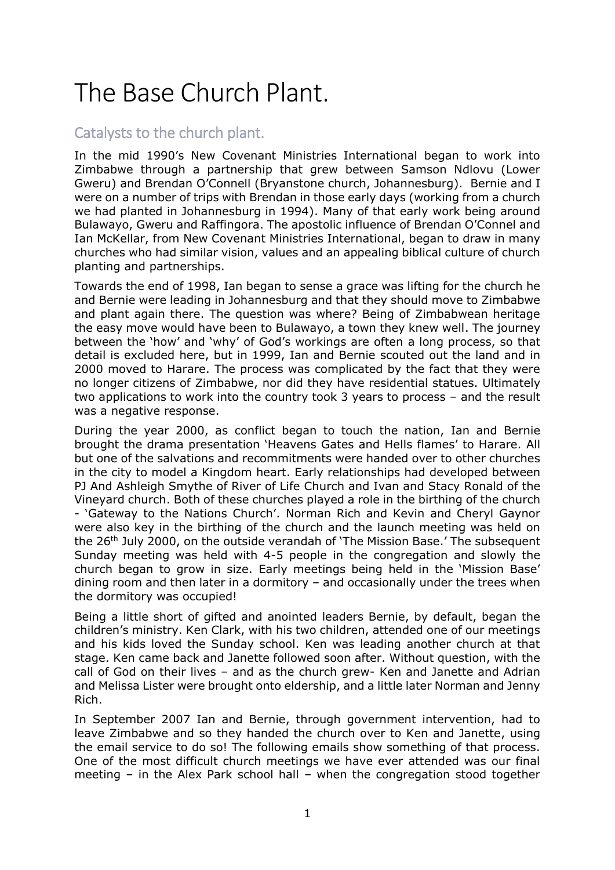# The Base Church Plant.

## Catalysts to the church plant.

In the mid 1990's New Covenant Ministries International began to work into Zimbabwe through a partnership that grew between Samson Ndlovu (Lower Gweru) and Brendan O'Connell (Bryanstone church, Johannesburg). Bernie and I were on a number of trips with Brendan in those early days (working from a church we had planted in Johannesburg in 1994). Many of that early work being around Bulawayo, Gweru and Raffingora. The apostolic influence of Brendan O'Connel and Ian McKellar, from New Covenant Ministries International, began to draw in many churches who had similar vision, values and an appealing biblical culture of church planting and partnerships.

Towards the end of 1998, Ian began to sense a grace was lifting for the church he and Bernie were leading in Johannesburg and that they should move to Zimbabwe and plant again there. The question was where? Being of Zimbabwean heritage the easy move would have been to Bulawayo, a town they knew well. The journey between the 'how' and 'why' of God's workings are often a long process, so that detail is excluded here, but in 1999, Ian and Bernie scouted out the land and in 2000 moved to Harare. The process was complicated by the fact that they were no longer citizens of Zimbabwe, nor did they have residential statues. Ultimately two applications to work into the country took 3 years to process – and the result was a negative response.

During the year 2000, as conflict began to touch the nation, Ian and Bernie brought the drama presentation 'Heavens Gates and Hells flames' to Harare. All but one of the salvations and recommitments were handed over to other churches in the city to model a Kingdom heart. Early relationships had developed between PJ And Ashleigh Smythe of River of Life Church and Ivan and Stacy Ronald of the Vineyard church. Both of these churches played a role in the birthing of the church - 'Gateway to the Nations Church'. Norman Rich and Kevin and Cheryl Gaynor were also key in the birthing of the church and the launch meeting was held on the 26<sup>th</sup> July 2000, on the outside verandah of 'The Mission Base.' The subsequent Sunday meeting was held with 4-5 people in the congregation and slowly the church began to grow in size. Early meetings being held in the 'Mission Base' dining room and then later in a dormitory – and occasionally under the trees when the dormitory was occupied!

Being a little short of gifted and anointed leaders Bernie, by default, began the children's ministry. Ken Clark, with his two children, attended one of our meetings and his kids loved the Sunday school. Ken was leading another church at that stage. Ken came back and Janette followed soon after. Without question, with the call of God on their lives – and as the church grew- Ken and Janette and Adrian and Melissa Lister were brought onto eldership, and a little later Norman and Jenny Rich.

In September 2007 Ian and Bernie, through government intervention, had to leave Zimbabwe and so they handed the church over to Ken and Janette, using the email service to do so! The following emails show something of that process. One of the most difficult church meetings we have ever attended was our final meeting – in the Alex Park school hall – when the congregation stood together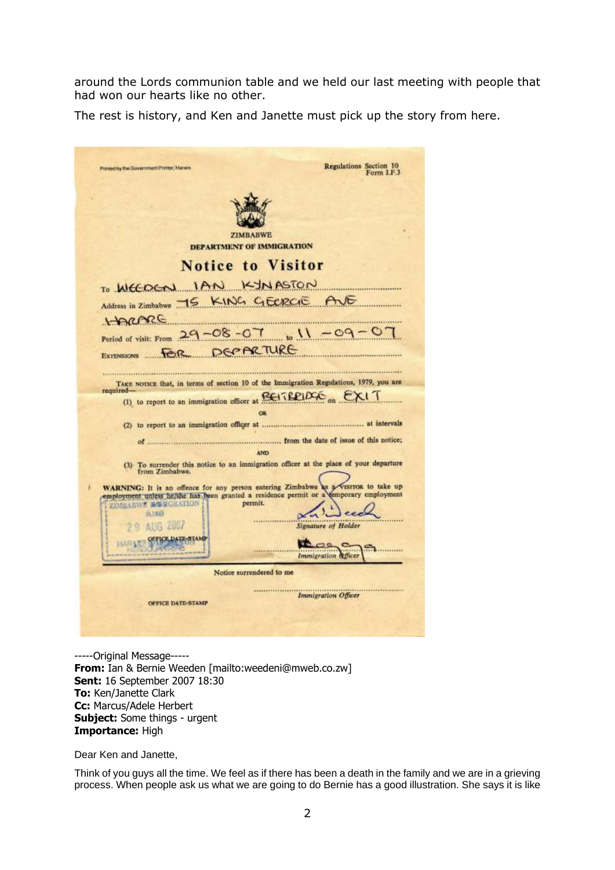around the Lords communion table and we held our last meeting with people that had won our hearts like no other.

The rest is history, and Ken and Janette must pick up the story from here.

| Printed by the Government Printer, Haners                                                               | <b>Regulations Section 10</b><br>Form I.F.3 |
|---------------------------------------------------------------------------------------------------------|---------------------------------------------|
|                                                                                                         |                                             |
|                                                                                                         |                                             |
| <b>ZIMBABWE</b>                                                                                         |                                             |
| DEPARTMENT OF IMMIGRATION                                                                               |                                             |
| <b>Notice to Visitor</b>                                                                                |                                             |
| TO WELDER IAN KINASTON                                                                                  |                                             |
| Address in Zimbabwe -15 KING GEERGE AVE                                                                 |                                             |
| HARME                                                                                                   |                                             |
| Period of visit: From $29 - 08 - 07$ $\binom{11}{2} - 09 - 0$                                           |                                             |
| EXTENSIONS FOR DEPARTURE                                                                                |                                             |
|                                                                                                         |                                             |
| TAKE NOTICE that, in terms of section 10 of the Immigration Regulations, 1979, you are                  |                                             |
| required-<br>(1) to report to an immigration officer at <b>EXITEDIDAS</b> on EXIT                       |                                             |
| <b>OR</b>                                                                                               |                                             |
|                                                                                                         |                                             |
|                                                                                                         |                                             |
|                                                                                                         | <b>AND</b>                                  |
| (3) To surrender this notice to an immigration officer at the place of your departure<br>from Zimbabwe. |                                             |
| WARNING: It is an offence for any person entering Zimbabwe as a visiton to take up                      |                                             |
| employment unless he/she has been granted a residence permit or a temporary employment<br>permit.       |                                             |
| ZIMBARWE BEEGRATION<br>0.144                                                                            |                                             |
| <b>AUG 2007</b>                                                                                         | <b>Signature of Holder</b>                  |
|                                                                                                         |                                             |
|                                                                                                         |                                             |
|                                                                                                         | Immigration &fficer                         |
| Notice surrendered to me                                                                                |                                             |
|                                                                                                         |                                             |
| OFFICE DATE-STAMP                                                                                       | <b>Immigration Officer</b>                  |
|                                                                                                         |                                             |

-----Original Message----- **From:** Ian & Bernie Weeden [mailto:weedeni@mweb.co.zw] **Sent:** 16 September 2007 18:30 **To:** Ken/Janette Clark **Cc:** Marcus/Adele Herbert **Subject:** Some things - urgent **Importance:** High

Dear Ken and Janette,

Think of you guys all the time. We feel as if there has been a death in the family and we are in a grieving process. When people ask us what we are going to do Bernie has a good illustration. She says it is like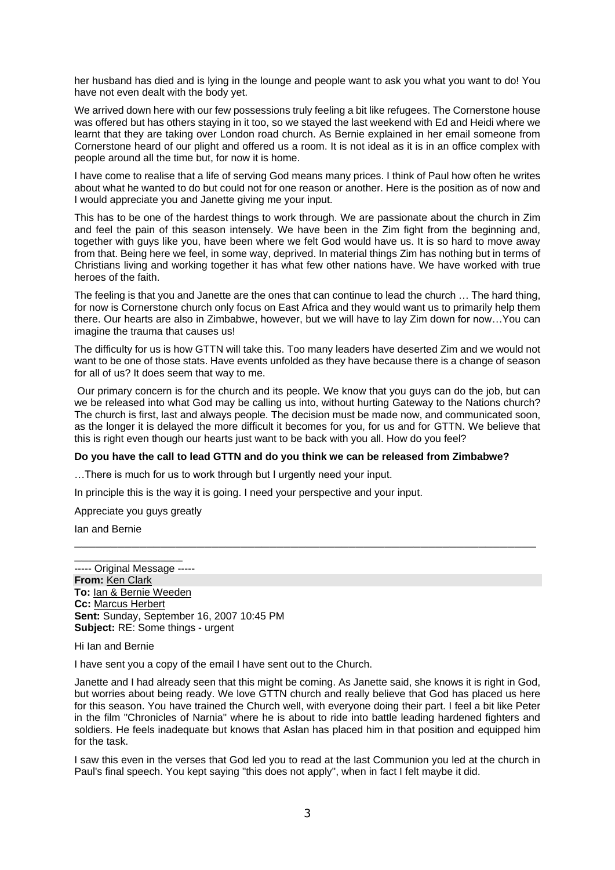her husband has died and is lying in the lounge and people want to ask you what you want to do! You have not even dealt with the body yet.

We arrived down here with our few possessions truly feeling a bit like refugees. The Cornerstone house was offered but has others staying in it too, so we stayed the last weekend with Ed and Heidi where we learnt that they are taking over London road church. As Bernie explained in her email someone from Cornerstone heard of our plight and offered us a room. It is not ideal as it is in an office complex with people around all the time but, for now it is home.

I have come to realise that a life of serving God means many prices. I think of Paul how often he writes about what he wanted to do but could not for one reason or another. Here is the position as of now and I would appreciate you and Janette giving me your input.

This has to be one of the hardest things to work through. We are passionate about the church in Zim and feel the pain of this season intensely. We have been in the Zim fight from the beginning and, together with guys like you, have been where we felt God would have us. It is so hard to move away from that. Being here we feel, in some way, deprived. In material things Zim has nothing but in terms of Christians living and working together it has what few other nations have. We have worked with true heroes of the faith.

The feeling is that you and Janette are the ones that can continue to lead the church … The hard thing, for now is Cornerstone church only focus on East Africa and they would want us to primarily help them there. Our hearts are also in Zimbabwe, however, but we will have to lay Zim down for now…You can imagine the trauma that causes us!

The difficulty for us is how GTTN will take this. Too many leaders have deserted Zim and we would not want to be one of those stats. Have events unfolded as they have because there is a change of season for all of us? It does seem that way to me.

Our primary concern is for the church and its people. We know that you guys can do the job, but can we be released into what God may be calling us into, without hurting Gateway to the Nations church? The church is first, last and always people. The decision must be made now, and communicated soon, as the longer it is delayed the more difficult it becomes for you, for us and for GTTN. We believe that this is right even though our hearts just want to be back with you all. How do you feel?

#### **Do you have the call to lead GTTN and do you think we can be released from Zimbabwe?**

\_\_\_\_\_\_\_\_\_\_\_\_\_\_\_\_\_\_\_\_\_\_\_\_\_\_\_\_\_\_\_\_\_\_\_\_\_\_\_\_\_\_\_\_\_\_\_\_\_\_\_\_\_\_\_\_\_\_\_\_\_\_\_\_

…There is much for us to work through but I urgently need your input.

In principle this is the way it is going. I need your perspective and your input.

Appreciate you guys greatly

 $\frac{1}{2}$  ,  $\frac{1}{2}$  ,  $\frac{1}{2}$  ,  $\frac{1}{2}$  ,  $\frac{1}{2}$  ,  $\frac{1}{2}$  ,  $\frac{1}{2}$  ,  $\frac{1}{2}$  ,  $\frac{1}{2}$  ,  $\frac{1}{2}$ 

Ian and Bernie

----- Original Message ----- **From:** [Ken Clark](mailto:kenjanc@mweb.co.zw) **To:** [Ian & Bernie Weeden](mailto:weedeni@mweb.co.zw) **Cc:** [Marcus Herbert](mailto:mtherbert@mweb.co.za) **Sent:** Sunday, September 16, 2007 10:45 PM **Subject:** RE: Some things - urgent

Hi Ian and Bernie

I have sent you a copy of the email I have sent out to the Church.

Janette and I had already seen that this might be coming. As Janette said, she knows it is right in God, but worries about being ready. We love GTTN church and really believe that God has placed us here for this season. You have trained the Church well, with everyone doing their part. I feel a bit like Peter in the film "Chronicles of Narnia" where he is about to ride into battle leading hardened fighters and soldiers. He feels inadequate but knows that Aslan has placed him in that position and equipped him for the task.

I saw this even in the verses that God led you to read at the last Communion you led at the church in Paul's final speech. You kept saying "this does not apply", when in fact I felt maybe it did.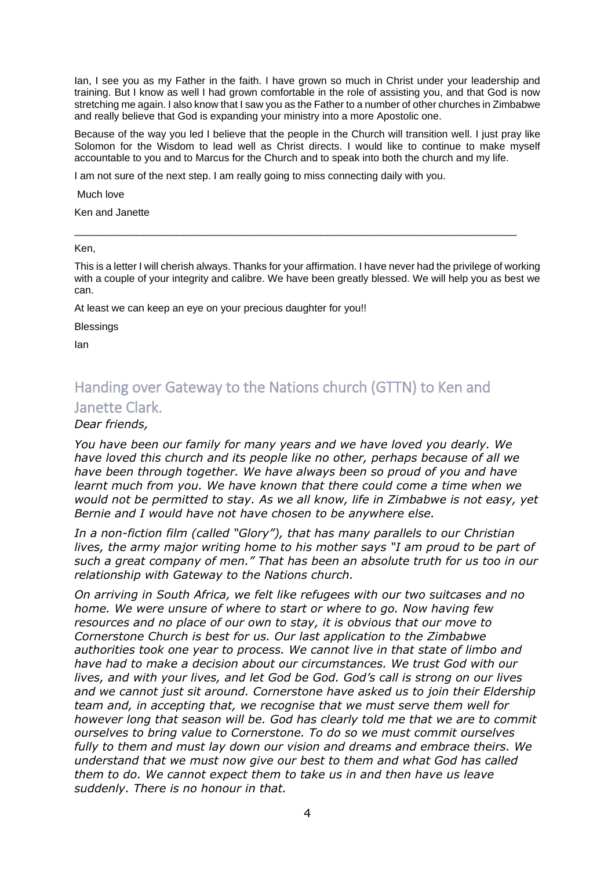Ian, I see you as my Father in the faith. I have grown so much in Christ under your leadership and training. But I know as well I had grown comfortable in the role of assisting you, and that God is now stretching me again. I also know that I saw you as the Father to a number of other churches in Zimbabwe and really believe that God is expanding your ministry into a more Apostolic one.

Because of the way you led I believe that the people in the Church will transition well. I just pray like Solomon for the Wisdom to lead well as Christ directs. I would like to continue to make myself accountable to you and to Marcus for the Church and to speak into both the church and my life.

I am not sure of the next step. I am really going to miss connecting daily with you.

Much love

Ken and Janette

Ken,

This is a letter I will cherish always. Thanks for your affirmation. I have never had the privilege of working with a couple of your integrity and calibre. We have been greatly blessed. We will help you as best we can.

\_\_\_\_\_\_\_\_\_\_\_\_\_\_\_\_\_\_\_\_\_\_\_\_\_\_\_\_\_\_\_\_\_\_\_\_\_\_\_\_\_\_\_\_\_\_\_\_\_\_\_\_\_\_\_\_\_\_\_\_\_\_\_\_\_\_\_\_\_\_\_\_\_\_\_\_\_

At least we can keep an eye on your precious daughter for you!!

**Blessings** 

Ian

## Handing over Gateway to the Nations church (GTTN) to Ken and Janette Clark.

### *Dear friends,*

*You have been our family for many years and we have loved you dearly. We have loved this church and its people like no other, perhaps because of all we have been through together. We have always been so proud of you and have learnt much from you. We have known that there could come a time when we would not be permitted to stay. As we all know, life in Zimbabwe is not easy, yet Bernie and I would have not have chosen to be anywhere else.*

*In a non-fiction film (called "Glory"), that has many parallels to our Christian lives, the army major writing home to his mother says "I am proud to be part of such a great company of men." That has been an absolute truth for us too in our relationship with Gateway to the Nations church.*

*On arriving in South Africa, we felt like refugees with our two suitcases and no home. We were unsure of where to start or where to go. Now having few resources and no place of our own to stay, it is obvious that our move to Cornerstone Church is best for us. Our last application to the Zimbabwe authorities took one year to process. We cannot live in that state of limbo and have had to make a decision about our circumstances. We trust God with our lives, and with your lives, and let God be God. God's call is strong on our lives and we cannot just sit around. Cornerstone have asked us to join their Eldership team and, in accepting that, we recognise that we must serve them well for however long that season will be. God has clearly told me that we are to commit ourselves to bring value to Cornerstone. To do so we must commit ourselves fully to them and must lay down our vision and dreams and embrace theirs. We understand that we must now give our best to them and what God has called them to do. We cannot expect them to take us in and then have us leave suddenly. There is no honour in that.*